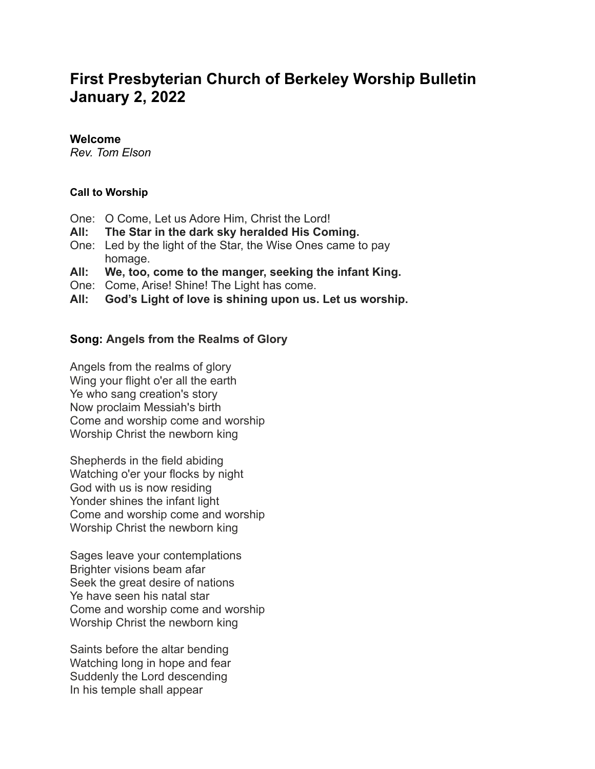# **First Presbyterian Church of Berkeley Worship Bulletin January 2, 2022**

#### **Welcome**

*Rev. Tom Elson*

## **Call to Worship**

- One: O Come, Let us Adore Him, Christ the Lord!
- **All: The Star in the dark sky heralded His Coming.**
- One: Led by the light of the Star, the Wise Ones came to pay homage.
- **All: We, too, come to the manger, seeking the infant King.**
- One: Come, Arise! Shine! The Light has come.
- **All: God's Light of love is shining upon us. Let us worship.**

## **Song: Angels from the Realms of Glory**

Angels from the realms of glory Wing your flight o'er all the earth Ye who sang creation's story Now proclaim Messiah's birth Come and worship come and worship Worship Christ the newborn king

Shepherds in the field abiding Watching o'er your flocks by night God with us is now residing Yonder shines the infant light Come and worship come and worship Worship Christ the newborn king

Sages leave your contemplations Brighter visions beam afar Seek the great desire of nations Ye have seen his natal star Come and worship come and worship Worship Christ the newborn king

Saints before the altar bending Watching long in hope and fear Suddenly the Lord descending In his temple shall appear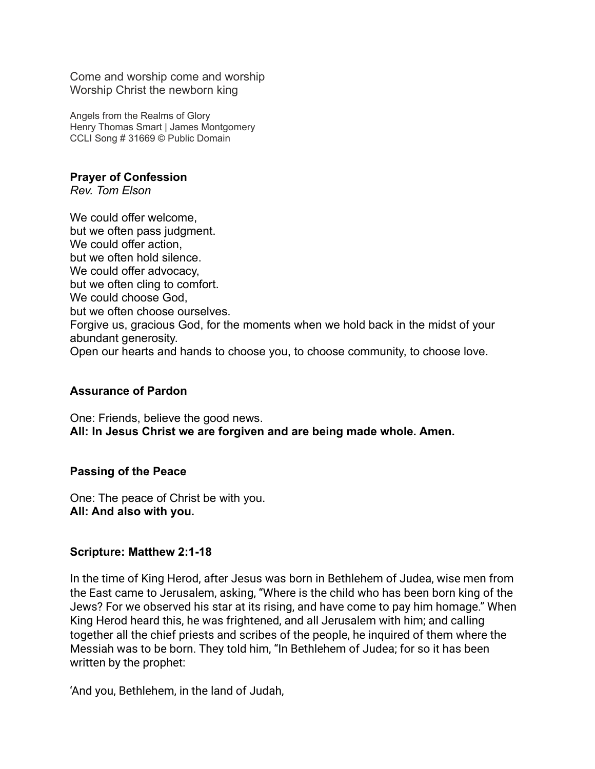Come and worship come and worship Worship Christ the newborn king

Angels from the Realms of Glory Henry Thomas Smart | James Montgomery CCLI Song # 31669 © Public Domain

**Prayer of Confession** *Rev. Tom Elson*

We could offer welcome, but we often pass judgment. We could offer action. but we often hold silence. We could offer advocacy, but we often cling to comfort. We could choose God, but we often choose ourselves. Forgive us, gracious God, for the moments when we hold back in the midst of your abundant generosity. Open our hearts and hands to choose you, to choose community, to choose love.

## **Assurance of Pardon**

One: Friends, believe the good news. **All: In Jesus Christ we are forgiven and are being made whole. Amen.**

## **Passing of the Peace**

One: The peace of Christ be with you. **All: And also with you.**

## **Scripture: Matthew 2:1-18**

In the time of King Herod, after Jesus was born in Bethlehem of Judea, wise men from the East came to Jerusalem, asking, "Where is the child who has been born king of the Jews? For we observed his star at its rising, and have come to pay him homage." When King Herod heard this, he was frightened, and all Jerusalem with him; and calling together all the chief priests and scribes of the people, he inquired of them where the Messiah was to be born. They told him, "In Bethlehem of Judea; for so it has been written by the prophet:

'And you, Bethlehem, in the land of Judah,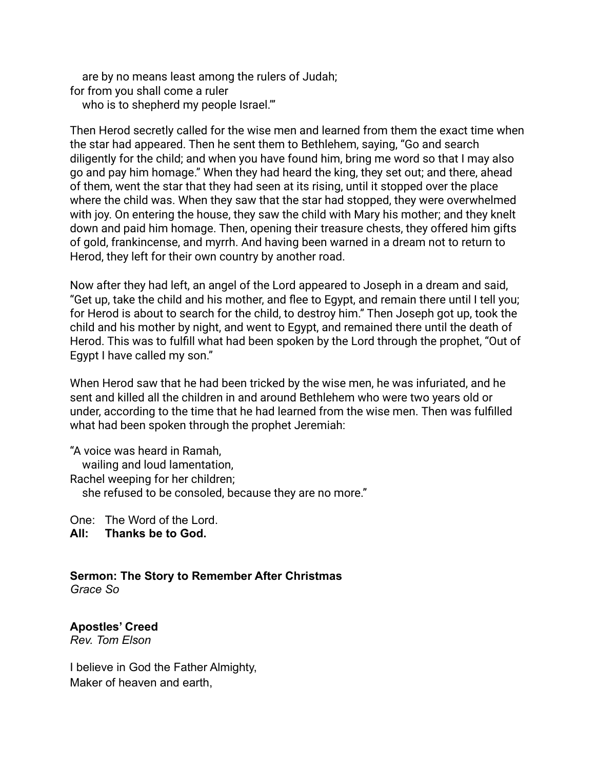are by no means least among the rulers of Judah; for from you shall come a ruler who is to shepherd my people Israel."

Then Herod secretly called for the wise men and learned from them the exact time when the star had appeared. Then he sent them to Bethlehem, saying, "Go and search diligently for the child; and when you have found him, bring me word so that I may also go and pay him homage." When they had heard the king, they set out; and there, ahead of them, went the star that they had seen at its rising, until it stopped over the place where the child was. When they saw that the star had stopped, they were overwhelmed with joy. On entering the house, they saw the child with Mary his mother; and they knelt down and paid him homage. Then, opening their treasure chests, they offered him gifts of gold, frankincense, and myrrh. And having been warned in a dream not to return to Herod, they left for their own country by another road.

Now after they had left, an angel of the Lord appeared to Joseph in a dream and said, "Get up, take the child and his mother, and flee to Egypt, and remain there until I tell you; for Herod is about to search for the child, to destroy him." Then Joseph got up, took the child and his mother by night, and went to Egypt, and remained there until the death of Herod. This was to fulfill what had been spoken by the Lord through the prophet, "Out of Egypt I have called my son."

When Herod saw that he had been tricked by the wise men, he was infuriated, and he sent and killed all the children in and around Bethlehem who were two years old or under, according to the time that he had learned from the wise men. Then was fulfilled what had been spoken through the prophet Jeremiah:

"A voice was heard in Ramah, wailing and loud lamentation, Rachel weeping for her children; she refused to be consoled, because they are no more."

One: The Word of the Lord.

**All: Thanks be to God.**

#### **Sermon: The Story to Remember After Christmas** *Grace So*

**Apostles' Creed** *Rev. Tom Elson*

I believe in God the Father Almighty, Maker of heaven and earth,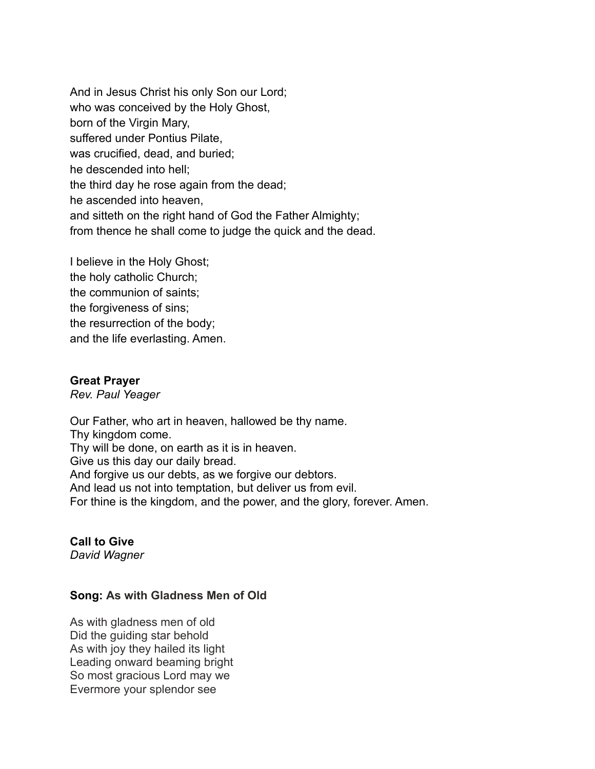And in Jesus Christ his only Son our Lord; who was conceived by the Holy Ghost, born of the Virgin Mary, suffered under Pontius Pilate, was crucified, dead, and buried; he descended into hell; the third day he rose again from the dead; he ascended into heaven, and sitteth on the right hand of God the Father Almighty; from thence he shall come to judge the quick and the dead.

I believe in the Holy Ghost; the holy catholic Church; the communion of saints; the forgiveness of sins; the resurrection of the body; and the life everlasting. Amen.

#### **Great Prayer**

*Rev. Paul Yeager*

Our Father, who art in heaven, hallowed be thy name. Thy kingdom come. Thy will be done, on earth as it is in heaven. Give us this day our daily bread. And forgive us our debts, as we forgive our debtors. And lead us not into temptation, but deliver us from evil. For thine is the kingdom, and the power, and the glory, forever. Amen.

# **Call to Give**

*David Wagner*

## **Song: As with Gladness Men of Old**

As with gladness men of old Did the guiding star behold As with joy they hailed its light Leading onward beaming bright So most gracious Lord may we Evermore your splendor see